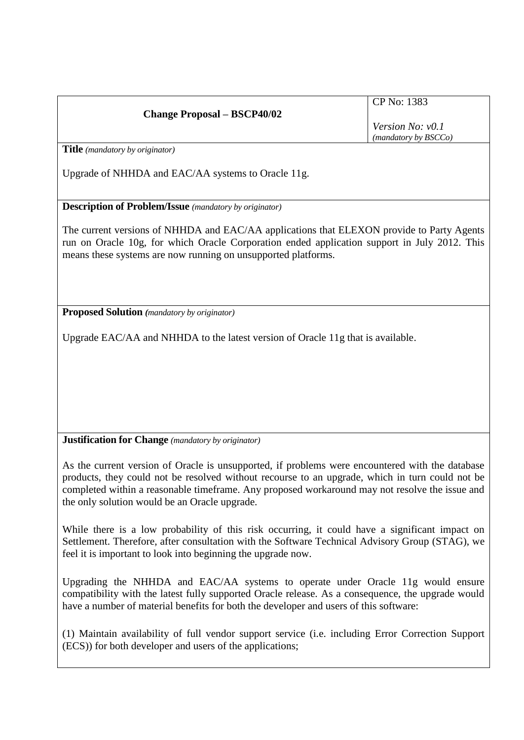| <b>Change Proposal - BSCP40/02</b> |  |
|------------------------------------|--|
|                                    |  |

CP No: 1383

*Version No: v0.1 (mandatory by BSCCo)*

**Title** *(mandatory by originator)*

Upgrade of NHHDA and EAC/AA systems to Oracle 11g.

**Description of Problem/Issue** *(mandatory by originator)*

The current versions of NHHDA and EAC/AA applications that ELEXON provide to Party Agents run on Oracle 10g, for which Oracle Corporation ended application support in July 2012. This means these systems are now running on unsupported platforms.

**Proposed Solution** *(mandatory by originator)*

Upgrade EAC/AA and NHHDA to the latest version of Oracle 11g that is available.

**Justification for Change** *(mandatory by originator)*

As the current version of Oracle is unsupported, if problems were encountered with the database products, they could not be resolved without recourse to an upgrade, which in turn could not be completed within a reasonable timeframe. Any proposed workaround may not resolve the issue and the only solution would be an Oracle upgrade.

While there is a low probability of this risk occurring, it could have a significant impact on Settlement. Therefore, after consultation with the Software Technical Advisory Group (STAG), we feel it is important to look into beginning the upgrade now.

Upgrading the NHHDA and EAC/AA systems to operate under Oracle 11g would ensure compatibility with the latest fully supported Oracle release. As a consequence, the upgrade would have a number of material benefits for both the developer and users of this software:

(1) Maintain availability of full vendor support service (i.e. including Error Correction Support (ECS)) for both developer and users of the applications;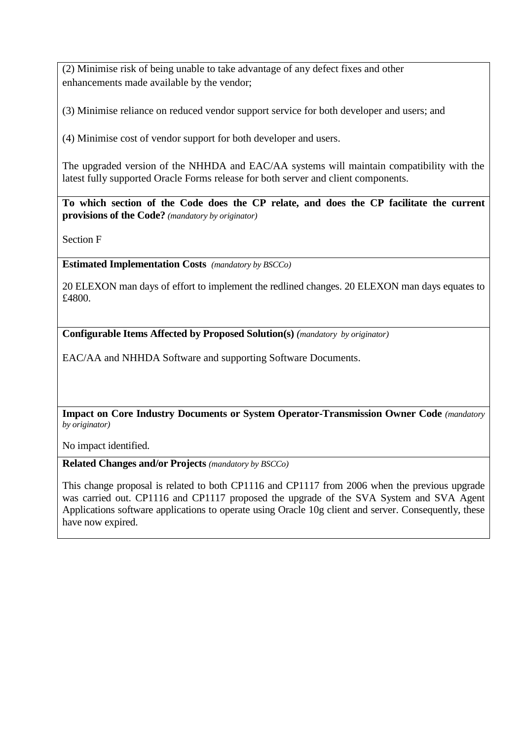(2) Minimise risk of being unable to take advantage of any defect fixes and other enhancements made available by the vendor;

(3) Minimise reliance on reduced vendor support service for both developer and users; and

(4) Minimise cost of vendor support for both developer and users.

The upgraded version of the NHHDA and EAC/AA systems will maintain compatibility with the latest fully supported Oracle Forms release for both server and client components.

**To which section of the Code does the CP relate, and does the CP facilitate the current provisions of the Code?** *(mandatory by originator)*

Section F

**Estimated Implementation Costs** *(mandatory by BSCCo)*

20 ELEXON man days of effort to implement the redlined changes. 20 ELEXON man days equates to £4800.

**Configurable Items Affected by Proposed Solution(s)** *(mandatory by originator)*

EAC/AA and NHHDA Software and supporting Software Documents.

**Impact on Core Industry Documents or System Operator-Transmission Owner Code** *(mandatory by originator)*

No impact identified.

**Related Changes and/or Projects** *(mandatory by BSCCo)*

This change proposal is related to both CP1116 and CP1117 from 2006 when the previous upgrade was carried out. CP1116 and CP1117 proposed the upgrade of the SVA System and SVA Agent Applications software applications to operate using Oracle 10g client and server. Consequently, these have now expired.